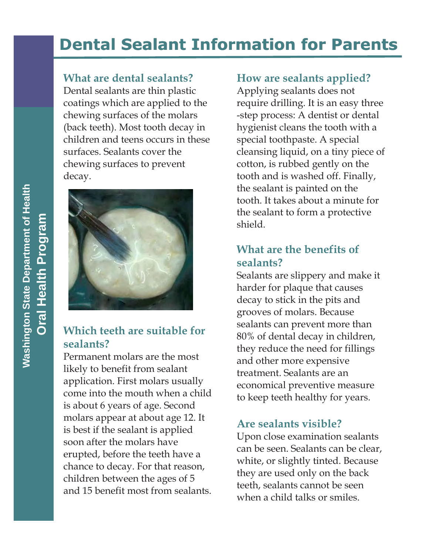# **Dental Sealant Information for Parents**

### **What are dental sealants?**

Dental sealants are thin plastic coatings which are applied to the chewing surfaces of the molars (back teeth). Most tooth decay in children and teens occurs in these surfaces. Sealants cover the chewing surfaces to prevent decay.



### **Which teeth are suitable for sealants?**

Permanent molars are the most likely to benefit from sealant application. First molars usually come into the mouth when a child is about 6 years of age. Second molars appear at about age 12. It is best if the sealant is applied soon after the molars have erupted, before the teeth have a chance to decay. For that reason, children between the ages of 5 and 15 benefit most from sealants.

### **How are sealants applied?**

Applying sealants does not require drilling. It is an easy three -step process: A dentist or dental hygienist cleans the tooth with a special toothpaste. A special cleansing liquid, on a tiny piece of cotton, is rubbed gently on the tooth and is washed off. Finally, the sealant is painted on the tooth. It takes about a minute for the sealant to form a protective shield.

### **What are the benefits of sealants?**

Sealants are slippery and make it harder for plaque that causes decay to stick in the pits and grooves of molars. Because sealants can prevent more than 80% of dental decay in children, they reduce the need for fillings and other more expensive treatment. Sealants are an economical preventive measure to keep teeth healthy for years.

# **Are sealants visible?**

Upon close examination sealants can be seen. Sealants can be clear, white, or slightly tinted. Because they are used only on the back teeth, sealants cannot be seen when a child talks or smiles.